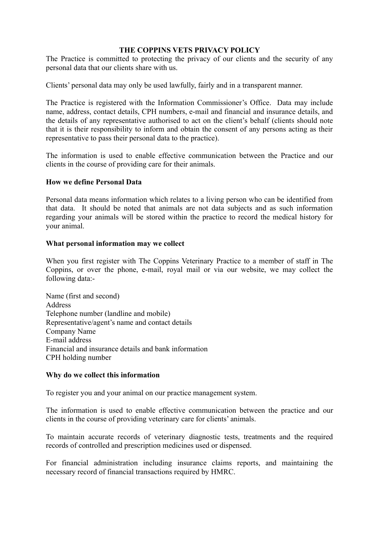## **THE COPPINS VETS PRIVACY POLICY**

The Practice is committed to protecting the privacy of our clients and the security of any personal data that our clients share with us.

Clients' personal data may only be used lawfully, fairly and in a transparent manner.

The Practice is registered with the Information Commissioner's Office. Data may include name, address, contact details, CPH numbers, e-mail and financial and insurance details, and the details of any representative authorised to act on the client's behalf (clients should note that it is their responsibility to inform and obtain the consent of any persons acting as their representative to pass their personal data to the practice).

The information is used to enable effective communication between the Practice and our clients in the course of providing care for their animals.

#### **How we define Personal Data**

Personal data means information which relates to a living person who can be identified from that data. It should be noted that animals are not data subjects and as such information regarding your animals will be stored within the practice to record the medical history for your animal.

#### **What personal information may we collect**

When you first register with The Coppins Veterinary Practice to a member of staff in The Coppins, or over the phone, e-mail, royal mail or via our website, we may collect the following data:-

Name (first and second) Address Telephone number (landline and mobile) Representative/agent's name and contact details Company Name E-mail address Financial and insurance details and bank information CPH holding number

#### **Why do we collect this information**

To register you and your animal on our practice management system.

The information is used to enable effective communication between the practice and our clients in the course of providing veterinary care for clients' animals.

To maintain accurate records of veterinary diagnostic tests, treatments and the required records of controlled and prescription medicines used or dispensed.

For financial administration including insurance claims reports, and maintaining the necessary record of financial transactions required by HMRC.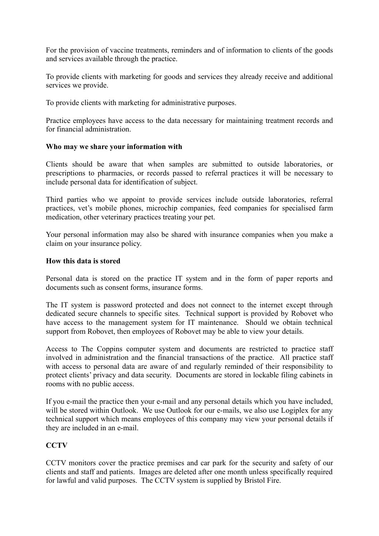For the provision of vaccine treatments, reminders and of information to clients of the goods and services available through the practice.

To provide clients with marketing for goods and services they already receive and additional services we provide.

To provide clients with marketing for administrative purposes.

Practice employees have access to the data necessary for maintaining treatment records and for financial administration.

#### **Who may we share your information with**

Clients should be aware that when samples are submitted to outside laboratories, or prescriptions to pharmacies, or records passed to referral practices it will be necessary to include personal data for identification of subject.

Third parties who we appoint to provide services include outside laboratories, referral practices, vet's mobile phones, microchip companies, feed companies for specialised farm medication, other veterinary practices treating your pet.

Your personal information may also be shared with insurance companies when you make a claim on your insurance policy.

## **How this data is stored**

Personal data is stored on the practice IT system and in the form of paper reports and documents such as consent forms, insurance forms.

The IT system is password protected and does not connect to the internet except through dedicated secure channels to specific sites. Technical support is provided by Robovet who have access to the management system for IT maintenance. Should we obtain technical support from Robovet, then employees of Robovet may be able to view your details.

Access to The Coppins computer system and documents are restricted to practice staff involved in administration and the financial transactions of the practice. All practice staff with access to personal data are aware of and regularly reminded of their responsibility to protect clients' privacy and data security. Documents are stored in lockable filing cabinets in rooms with no public access.

If you e-mail the practice then your e-mail and any personal details which you have included, will be stored within Outlook. We use Outlook for our e-mails, we also use Logiplex for any technical support which means employees of this company may view your personal details if they are included in an e-mail.

# **CCTV**

CCTV monitors cover the practice premises and car park for the security and safety of our clients and staff and patients. Images are deleted after one month unless specifically required for lawful and valid purposes. The CCTV system is supplied by Bristol Fire.